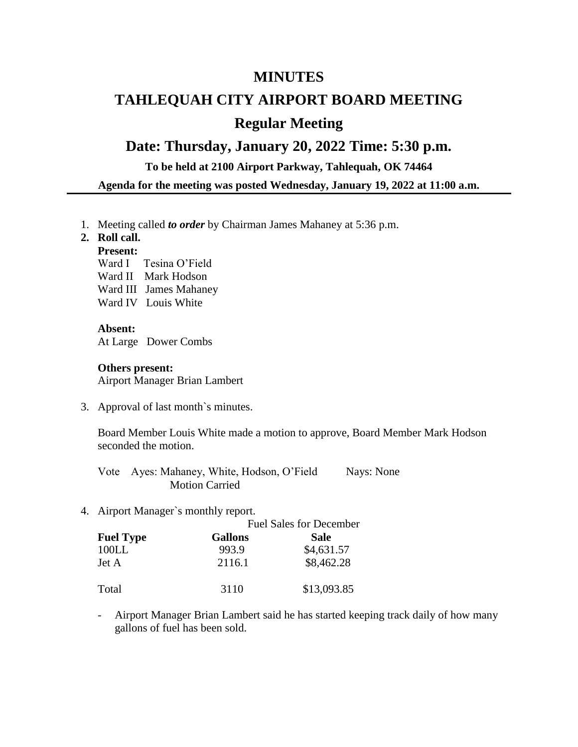## **MINUTES**

# **TAHLEQUAH CITY AIRPORT BOARD MEETING Regular Meeting**

## **Date: Thursday, January 20, 2022 Time: 5:30 p.m.**

**To be held at 2100 Airport Parkway, Tahlequah, OK 74464**

**Agenda for the meeting was posted Wednesday, January 19, 2022 at 11:00 a.m.**

1. Meeting called *to order* by Chairman James Mahaney at 5:36 p.m.

### **2. Roll call.**

#### **Present:**

Ward I Tesina O'Field

Ward II Mark Hodson

Ward III James Mahaney

Ward IV Louis White

#### **Absent:**

At Large Dower Combs

#### **Others present:**

Airport Manager Brian Lambert

3. Approval of last month`s minutes.

Board Member Louis White made a motion to approve, Board Member Mark Hodson seconded the motion.

Vote Ayes: Mahaney, White, Hodson, O'Field Nays: None Motion Carried

4. Airport Manager`s monthly report.

| <b>Fuel Type</b> | <b>Fuel Sales for December</b> |             |
|------------------|--------------------------------|-------------|
|                  | <b>Gallons</b>                 | Sale        |
| 100LL            | 993.9                          | \$4,631.57  |
| Jet A            | 2116.1                         | \$8,462.28  |
| Total            | 3110                           | \$13,093.85 |

- Airport Manager Brian Lambert said he has started keeping track daily of how many gallons of fuel has been sold.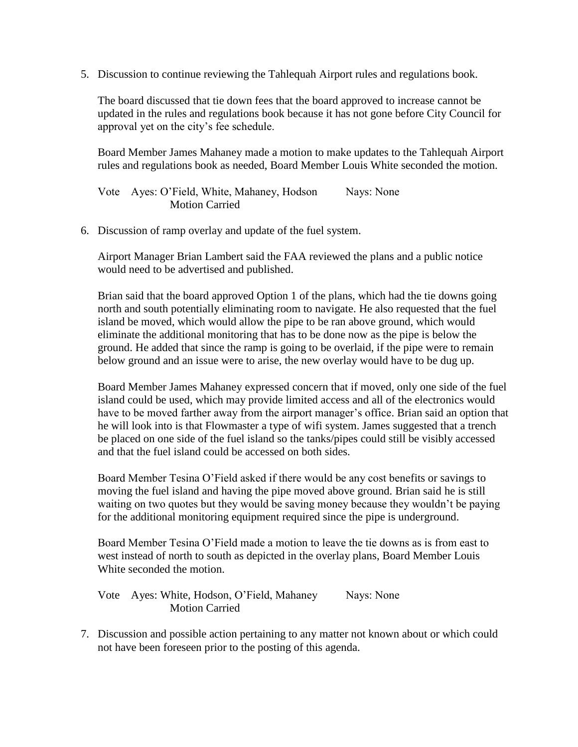5. Discussion to continue reviewing the Tahlequah Airport rules and regulations book.

The board discussed that tie down fees that the board approved to increase cannot be updated in the rules and regulations book because it has not gone before City Council for approval yet on the city's fee schedule.

Board Member James Mahaney made a motion to make updates to the Tahlequah Airport rules and regulations book as needed, Board Member Louis White seconded the motion.

Vote Ayes: O'Field, White, Mahaney, Hodson Nays: None Motion Carried

6. Discussion of ramp overlay and update of the fuel system.

Airport Manager Brian Lambert said the FAA reviewed the plans and a public notice would need to be advertised and published.

Brian said that the board approved Option 1 of the plans, which had the tie downs going north and south potentially eliminating room to navigate. He also requested that the fuel island be moved, which would allow the pipe to be ran above ground, which would eliminate the additional monitoring that has to be done now as the pipe is below the ground. He added that since the ramp is going to be overlaid, if the pipe were to remain below ground and an issue were to arise, the new overlay would have to be dug up.

Board Member James Mahaney expressed concern that if moved, only one side of the fuel island could be used, which may provide limited access and all of the electronics would have to be moved farther away from the airport manager's office. Brian said an option that he will look into is that Flowmaster a type of wifi system. James suggested that a trench be placed on one side of the fuel island so the tanks/pipes could still be visibly accessed and that the fuel island could be accessed on both sides.

Board Member Tesina O'Field asked if there would be any cost benefits or savings to moving the fuel island and having the pipe moved above ground. Brian said he is still waiting on two quotes but they would be saving money because they wouldn't be paying for the additional monitoring equipment required since the pipe is underground.

Board Member Tesina O'Field made a motion to leave the tie downs as is from east to west instead of north to south as depicted in the overlay plans, Board Member Louis White seconded the motion.

Vote Ayes: White, Hodson, O'Field, Mahaney Nays: None Motion Carried

7. Discussion and possible action pertaining to any matter not known about or which could not have been foreseen prior to the posting of this agenda.